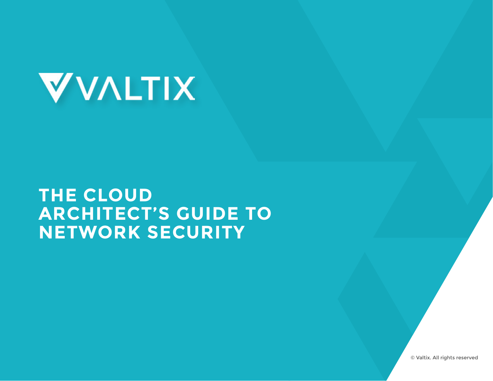

#### **THE CLOUD ARCHITECT'S GUIDE TO NETWORK SECURITY**

© Valtix. All rights reserved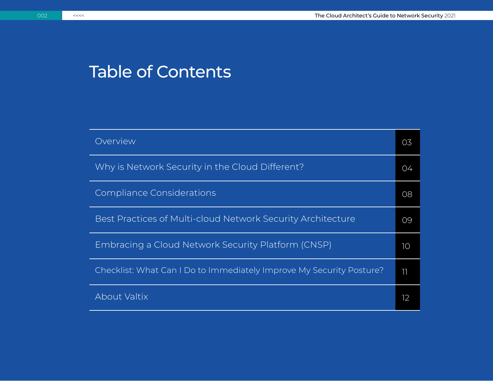#### Table of Contents

| Overview                                                             | 03 |
|----------------------------------------------------------------------|----|
| Why is Network Security in the Cloud Different?                      | 04 |
| Compliance Considerations                                            | 08 |
| Best Practices of Multi-cloud Network Security Architecture          | 09 |
| Embracing a Cloud Network Security Platform (CNSP)                   | 10 |
| Checklist: What Can I Do to Immediately Improve My Security Posture? | 11 |
| About Valtix                                                         | 12 |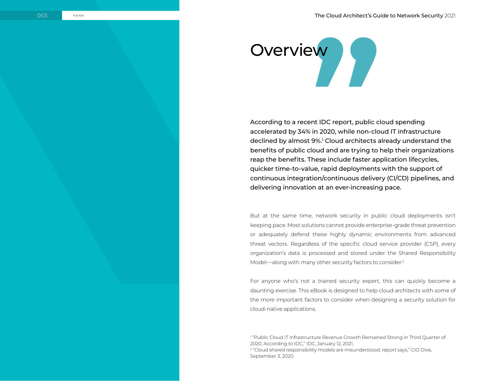# Overview **Austine Strategy**

According to a recent IDC report, public cloud spending accelerated by 34% in 2020, while non-cloud IT infrastructure declined by almost 9%.<sup>1</sup> Cloud architects already understand the benefits of public cloud and are trying to help their organizations reap the benefits. These include faster application lifecycles, quicker time-to-value, rapid deployments with the support of continuous integration/continuous delivery (CI/CD) pipelines, and delivering innovation at an ever-increasing pace.

But at the same time, network security in public cloud deployments isn't keeping pace. Most solutions cannot provide enterprise-grade threat prevention or adequately defend these highly dynamic environments from advanced threat vectors. Regardless of the specific cloud service provider (CSP), every organization's data is processed and stored under the Shared Responsibility Model—along with many other security factors to consider.<sup>2</sup>

For anyone who's not a trained security expert, this can quickly become a daunting exercise. This eBook is designed to help cloud architects with some of the more important factors to consider when designing a security solution for cloud-native applications.

1 ["Public Cloud IT Infrastructure Revenue Growth Remained Strong in Third Quarter of](https://www.idc.com/getdoc.jsp?containerId=prUS47279621)  [2020, According to IDC,](https://www.idc.com/getdoc.jsp?containerId=prUS47279621)" IDC, January 12, 2021. <sup>2</sup> "[Cloud shared responsibility models are misunderstood, report says](https://www.ciodive.com/news/shared-responsibility-models-cloud-security-alliance/584652/)," CIO Dive,

September 3, 2020.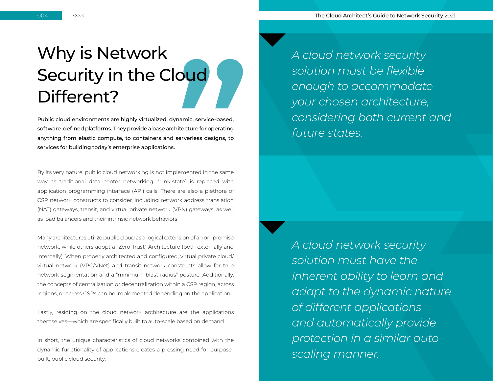004 <<<< The Cloud Architect's Guide to Network Security 2021

### Why is Network Security in the Cloud Different?

Public cloud environments are highly virtualized, dynamic, service-based, software-defined platforms. They provide a base architecture for operating anything from elastic compute, to containers and serverless designs, to services for building today's enterprise applications.

By its very nature, public cloud networking is not implemented in the same way as traditional data center networking. "Link-state" is replaced with application programming interface (API) calls. There are also a plethora of CSP network constructs to consider, including network address translation (NAT) gateways, transit, and virtual private network (VPN) gateways, as well as load balancers and their intrinsic network behaviors.

Many architectures utilize public cloud as a logical extension of an on-premise network, while others adopt a "Zero-Trust" Architecture (both externally and internally). When properly architected and configured, virtual private cloud/ virtual network (VPC/VNet) and transit network constructs allow for true network segmentation and a "minimum blast radius" posture. Additionally, the concepts of centralization or decentralization within a CSP region, across regions, or across CSPs can be implemented depending on the application.

Lastly, residing on the cloud network architecture are the applications themselves—which are specifically built to auto-scale based on demand.

In short, the unique characteristics of cloud networks combined with the dynamic functionality of applications creates a pressing need for purposebuilt, public cloud security.

*A cloud network security solution must be flexible enough to accommodate your chosen architecture, considering both current and future states.*

*A cloud network security solution must have the inherent ability to learn and adapt to the dynamic nature of different applications and automatically provide protection in a similar autoscaling manner.*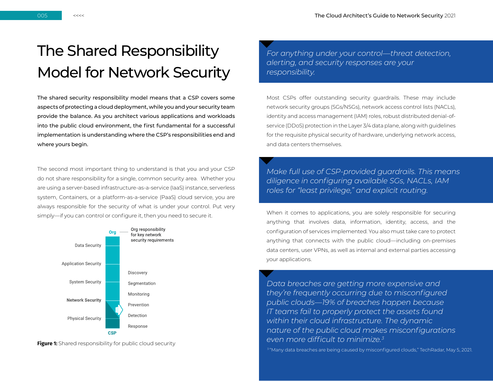#### The Shared Responsibility Model for Network Security

The shared security responsibility model means that a CSP covers some aspects of protecting a cloud deployment, while you and your security team provide the balance. As you architect various applications and workloads into the public cloud environment, the first fundamental for a successful implementation is understanding where the CSP's responsibilities end and where yours begin.

The second most important thing to understand is that you and your CSP do not share responsibility for a single, common security area. Whether you are using a server-based infrastructure-as-a-service (IaaS) instance, serverless system, Containers, or a platform-as-a-service (PaaS) cloud service, you are always responsible for the security of what is under your control. Put very simply—if you can control or configure it, then you need to secure it.



**Figure 1:** Shared responsibility for public cloud security

*For anything under your control—threat detection, alerting, and security responses are your responsibility.* 

Most CSPs offer outstanding security guardrails. These may include network security groups (SGs/NSGs), network access control lists (NACLs), identity and access management (IAM) roles, robust distributed denial-ofservice (DDoS) protection in the Layer 3/4 data plane, along with guidelines for the requisite physical security of hardware, underlying network access, and data centers themselves.

*Make full use of CSP-provided guardrails. This means diligence in configuring available SGs, NACLs, IAM roles for "least privilege," and explicit routing.*

When it comes to applications, you are solely responsible for securing anything that involves data, information, identity, access, and the configuration of services implemented. You also must take care to protect anything that connects with the public cloud—including on-premises data centers, user VPNs, as well as internal and external parties accessing your applications.

*Data breaches are getting more expensive and they're frequently occurring due to misconfigured public clouds—19% of breaches happen because IT teams fail to properly protect the assets found within their cloud infrastructure. The dynamic nature of the public cloud makes misconfigurations even more difficult to minimize.<sup>3</sup>*

<sup>3</sup> "[Many data breaches are being caused by misconfigured clouds,](https://www.techradar.com/news/many-data-breaches-are-being-caused-by-misconfigured-clouds)" TechRadar, May 5, 2021.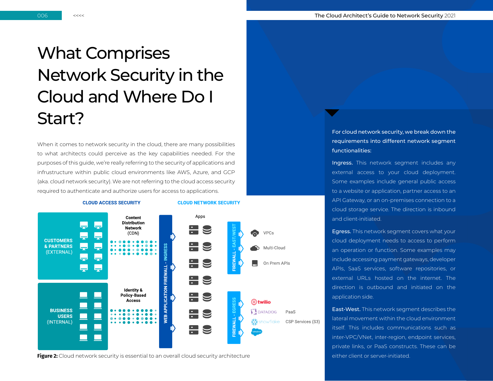#### What Comprises Network Security in the Cloud and Where Do I Start?

When it comes to network security in the cloud, there are many possibilities to what architects could perceive as the key capabilities needed. For the purposes of this guide, we're really referring to the security of applications and infrustructure within public cloud environments like AWS, Azure, and GCP (aka. cloud network security). We are not referring to the cloud access security required to authenticate and authorize users for access to applications.

#### **CLOUD ACCESS SECURITY**

**CLOUD NETWORK SECURITY** 



**Figure 2:** Cloud network security is essential to an overall cloud security architecture either client or server-initiated.

For cloud network security, we break down the requirements into different network segment functionalities:

Ingress. This network segment includes any external access to your cloud deployment. Some examples include general public access to a website or application, partner access to an API Gateway, or an on-premises connection to a cloud storage service. The direction is inbound and client-initiated.

Egress. This network segment covers what your cloud deployment needs to access to perform an operation or function. Some examples may include accessing payment gateways, developer APIs, SaaS services, software repositories, or external URLs hosted on the internet. The direction is outbound and initiated on the application side.

East-West. This network segment describes the lateral movement within the cloud environment itself. This includes communications such as inter-VPC/VNet, inter-region, endpoint services, private links, or PaaS constructs. These can be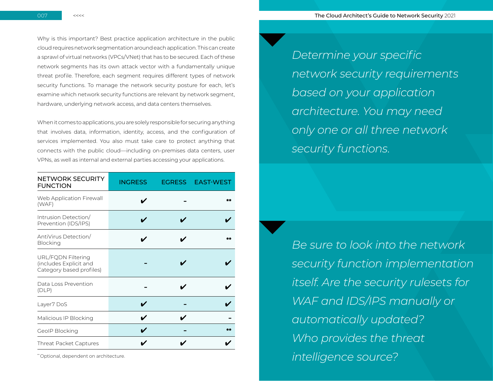Why is this important? Best practice application architecture in the public cloud requires network segmentation around each application. This can create a sprawl of virtual networks (VPCs/VNet) that has to be secured. Each of these network segments has its own attack vector with a fundamentally unique threat profile. Therefore, each segment requires different types of network security functions. To manage the network security posture for each, let's examine which network security functions are relevant by network segment, hardware, underlying network access, and data centers themselves.

When it comes to applications, you are solely responsible for securing anything that involves data, information, identity, access, and the configuration of services implemented. You also must take care to protect anything that connects with the public cloud—including on-premises data centers, user VPNs, as well as internal and external parties accessing your applications.

| <b>NETWORK SECURITY</b><br><b>FUNCTION</b>                               | <b>INGRESS</b> | EGRESS EAST-WEST |
|--------------------------------------------------------------------------|----------------|------------------|
| Web Application Firewall<br>(WAF)                                        |                | **               |
| Intrusion Detection/<br>Prevention (IDS/IPS)                             |                |                  |
| AntiVirus Detection/<br>Blocking                                         |                |                  |
| URL/FQDN Filtering<br>(includes Explicit and<br>Category based profiles) |                |                  |
| Data Loss Prevention<br>(DLP)                                            |                |                  |
| Layer7 DoS                                                               |                |                  |
| Malicious IP Blocking                                                    |                |                  |
| GeoIP Blocking                                                           |                | **               |
| Threat Packet Captures                                                   |                |                  |

\* Optional, dependent on architecture.

*Determine your specific network security requirements based on your application architecture. You may need only one or all three network security functions.*

*Be sure to look into the network security function implementation itself. Are the security rulesets for WAF and IDS/IPS manually or automatically updated? Who provides the threat intelligence source?*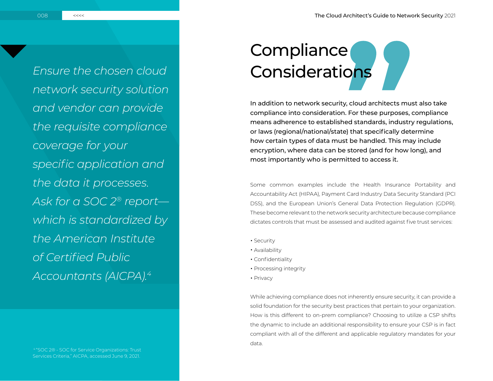**Ensure the chosen cloud Considerations** *network security solution and vendor can provide the requisite compliance coverage for your specific application and the data it processes. Ask for a SOC 2® report which is standardized by the American Institute of Certified Public Accountants (AICPA).4*

# Compliance

In addition to network security, cloud architects must also take compliance into consideration. For these purposes, compliance means adherence to established standards, industry regulations, or laws (regional/national/state) that specifically determine how certain types of data must be handled. This may include encryption, where data can be stored (and for how long), and most importantly who is permitted to access it.

Some common examples include the Health Insurance Portability and Accountability Act (HIPAA), Payment Card Industry Data Security Standard (PCI DSS), and the European Union's General Data Protection Regulation (GDPR). These become relevant to the network security architecture because compliance dictates controls that must be assessed and audited against five trust services:

- Security
- Availability
- Confidentiality
- Processing integrity
- Privacy

While achieving compliance does not inherently ensure security, it can provide a solid foundation for the security best practices that pertain to your organization. How is this different to on-prem compliance? Choosing to utilize a CSP shifts the dynamic to include an additional responsibility to ensure your CSP is in fact compliant with all of the different and applicable regulatory mandates for your data.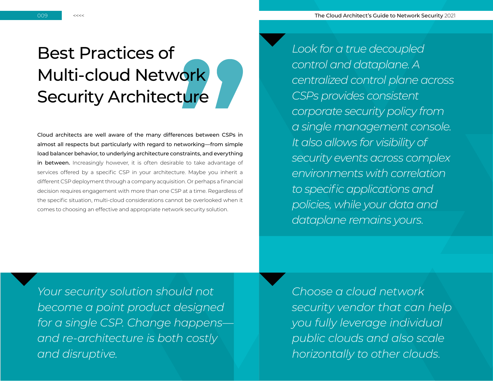009 <<<< The Cloud Architect's Guide to Network Security 2021

### Best Practices of Multi-cloud Network Security Architecture

Cloud architects are well aware of the many differences between CSPs in almost all respects but particularly with regard to networking—from simple load balancer behavior, to underlying architecture constraints, and everything in between. Increasingly however, it is often desirable to take advantage of services offered by a specific CSP in your architecture. Maybe you inherit a different CSP deployment through a company acquisition. Or perhaps a financial decision requires engagement with more than one CSP at a time. Regardless of the specific situation, multi-cloud considerations cannot be overlooked when it comes to choosing an effective and appropriate network security solution.

*Look for a true decoupled control and dataplane. A centralized control plane across CSPs provides consistent corporate security policy from a single management console. It also allows for visibility of security events across complex environments with correlation to specific applications and policies, while your data and dataplane remains yours.*

*Your security solution should not become a point product designed for a single CSP. Change happens and re-architecture is both costly and disruptive.*

*Choose a cloud network security vendor that can help you fully leverage individual public clouds and also scale horizontally to other clouds.*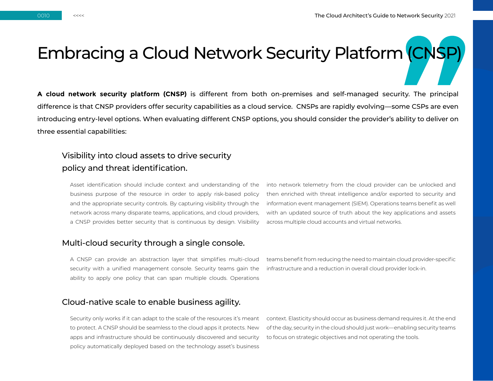## Embracing a Cloud Network Security Platform (CNSP)

**A cloud network security platform (CNSP)** is different from both on-premises and self-managed security. The principal difference is that CNSP providers offer security capabilities as a cloud service. CNSPs are rapidly evolving—some CSPs are even introducing entry-level options. When evaluating different CNSP options, you should consider the provider's ability to deliver on three essential capabilities:

#### Visibility into cloud assets to drive security policy and threat identification.

Asset identification should include context and understanding of the business purpose of the resource in order to apply risk-based policy and the appropriate security controls. By capturing visibility through the network across many disparate teams, applications, and cloud providers, a CNSP provides better security that is continuous by design. Visibility into network telemetry from the cloud provider can be unlocked and then enriched with threat intelligence and/or exported to security and information event management (SIEM). Operations teams benefit as well with an updated source of truth about the key applications and assets across multiple cloud accounts and virtual networks.

#### Multi-cloud security through a single console.

A CNSP can provide an abstraction layer that simplifies multi-cloud security with a unified management console. Security teams gain the ability to apply one policy that can span multiple clouds. Operations

teams benefit from reducing the need to maintain cloud provider-specific infrastructure and a reduction in overall cloud provider lock-in.

#### Cloud-native scale to enable business agility.

Security only works if it can adapt to the scale of the resources it's meant to protect. A CNSP should be seamless to the cloud apps it protects. New apps and infrastructure should be continuously discovered and security policy automatically deployed based on the technology asset's business

context. Elasticity should occur as business demand requires it. At the end of the day, security in the cloud should just work—enabling security teams to focus on strategic objectives and not operating the tools.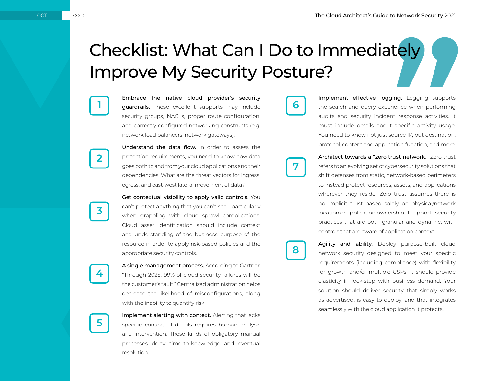## Checklist: What Can I Do to Immediately Improve My Security Posture?

**7**

**8**

**1 deguardrails.** These excellent supports may include **6** Embrace the native cloud provider's security security groups, NACLs, proper route configuration, and correctly configured networking constructs (e.g. network load balancers, network gateways).

> Understand the data flow. In order to assess the protection requirements, you need to know how data goes both to and from your cloud applications and their dependencies. What are the threat vectors for ingress, egress, and east-west lateral movement of data?

> Get contextual visibility to apply valid controls. You can't protect anything that you can't see - particularly when grappling with cloud sprawl complications. Cloud asset identification should include context and understanding of the business purpose of the resource in order to apply risk-based policies and the appropriate security controls.

A single management process. According to Gartner, "Through 2025, 99% of cloud security failures will be the customer's fault." Centralized administration helps decrease the likelihood of misconfigurations, along with the inability to quantify risk.

Implement alerting with context. Alerting that lacks specific contextual details requires human analysis and intervention. These kinds of obligatory manual processes delay time-to-knowledge and eventual resolution.

Implement effective logging. Logging supports the search and query experience when performing audits and security incident response activities. It must include details about specific activity usage. You need to know not just source IP, but destination, protocol, content and application function, and more.

Architect towards a "zero trust network." Zero trust refers to an evolving set of cybersecurity solutions that shift defenses from static, network-based perimeters to instead protect resources, assets, and applications wherever they reside. Zero trust assumes there is no implicit trust based solely on physical/network location or application ownership. It supports security practices that are both granular and dynamic, with controls that are aware of application context.

Agility and ability. Deploy purpose-built cloud network security designed to meet your specific requirements (including compliance) with flexibility for growth and/or multiple CSPs. It should provide elasticity in lock-step with business demand. Your solution should deliver security that simply works as advertised, is easy to deploy, and that integrates seamlessly with the cloud application it protects.

**2**

**3**

**4**

**5**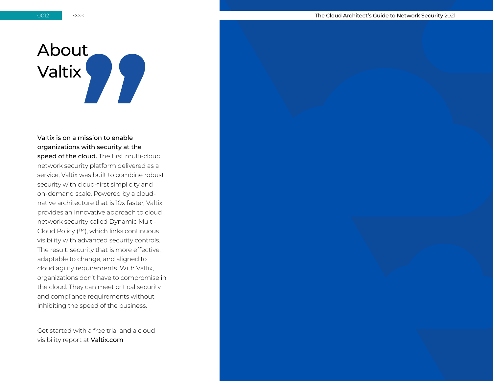## About Valtix

Valtix is on a mission to enable organizations with security at the speed of the cloud. The first multi-cloud network security platform delivered as a service, Valtix was built to combine robust security with cloud-first simplicity and on-demand scale. Powered by a cloudnative architecture that is 10x faster, Valtix provides an innovative approach to cloud network security called Dynamic Multi-Cloud Policy (™), which links continuous visibility with advanced security controls. The result: security that is more effective, adaptable to change, and aligned to cloud agility requirements. With Valtix, organizations don't have to compromise in the cloud. They can meet critical security and compliance requirements without inhibiting the speed of the business.

Get started with a free trial and a cloud visibility report at [Valtix.com](http://Valtix.com)

0012 <<<< The Cloud Architect's Guide to Network Security 2021